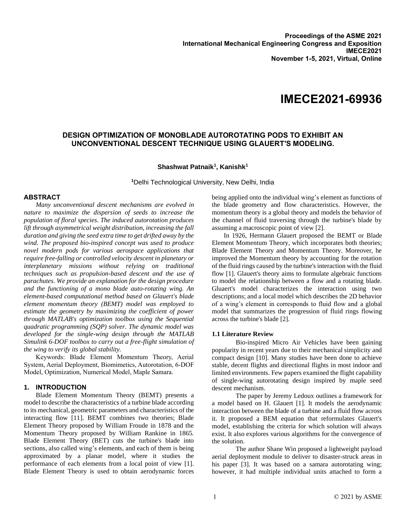# **IMECE2021-69936**

## **DESIGN OPTIMIZATION OF MONOBLADE AUTOROTATING PODS TO EXHIBIT AN UNCONVENTIONAL DESCENT TECHNIQUE USING GLAUERT'S MODELING.**

## **Shashwat Patnaik<sup>1</sup> , Kanishk<sup>1</sup>**

**<sup>1</sup>**Delhi Technological University, New Delhi, India

#### **ABSTRACT**

*Many unconventional descent mechanisms are evolved in nature to maximize the dispersion of seeds to increase the population of floral species. The induced autorotation produces lift through asymmetrical weight distribution, increasing the fall duration and giving the seed extra time to get drifted away by the wind. The proposed bio-inspired concept was used to produce novel modern pods for various aerospace applications that require free-falling or controlled velocity descent in planetary or interplanetary missions without relying on traditional techniques such as propulsion-based descent and the use of parachutes. We provide an explanation for the design procedure and the functioning of a mono blade auto-rotating wing. An element-based computational method based on Glauert's blade element momentum theory (BEMT) model was employed to estimate the geometry by maximizing the coefficient of power through MATLAB's optimization toolbox using the Sequential quadratic programming (SQP) solver. The dynamic model was developed for the single-wing design through the MATLAB Simulink 6-DOF toolbox to carry out a free-flight simulation of the wing to verify its global stability.*

Keywords: Blade Element Momentum Theory, Aerial System, Aerial Deployment, Biomimetics, Autorotation, 6-DOF Model, Optimization, Numerical Model, Maple Samara.

## **1. INTRODUCTION**

Blade Element Momentum Theory (BEMT) presents a model to describe the characteristics of a turbine blade according to its mechanical, geometric parameters and characteristics of the interacting flow [11]. BEMT combines two theories; Blade Element Theory proposed by William Froude in 1878 and the Momentum Theory proposed by William Rankine in 1865. Blade Element Theory (BET) cuts the turbine's blade into sections, also called wing's elements, and each of them is being approximated by a planar model, where it studies the performance of each elements from a local point of view [1]. Blade Element Theory is used to obtain aerodynamic forces being applied onto the individual wing's element as functions of the blade geometry and flow characteristics. However, the momentum theory is a global theory and models the behavior of the channel of fluid traversing through the turbine's blade by assuming a macroscopic point of view [2].

In 1926, Hermann Glauert proposed the BEMT or Blade Element Momentum Theory, which incorporates both theories; Blade Element Theory and Momentum Theory. Moreover, he improved the Momentum theory by accounting for the rotation of the fluid rings caused by the turbine's interaction with the fluid flow [1]. Glauert's theory aims to formulate algebraic functions to model the relationship between a flow and a rotating blade. Gluaert's model characterizes the interaction using two descriptions; and a local model which describes the 2D behavior of a wing's element in corresponds to fluid flow and a global model that summarizes the progression of fluid rings flowing across the turbine's blade [2].

#### **1.1 Literature Review**

Bio-inspired Micro Air Vehicles have been gaining popularity in recent years due to their mechanical simplicity and compact design [10]. Many studies have been done to achieve stable, decent flights and directional flights in most indoor and limited environments. Few papers examined the flight capability of single-wing autorotating design inspired by maple seed descent mechanism.

The paper by Jeremy Ledoux outlines a framework for a model based on H. Glauert [1]. It models the aerodynamic interaction between the blade of a turbine and a fluid flow across it. It proposed a BEM equation that reformulates Glauert's model, establishing the criteria for which solution will always exist. It also explores various algorithms for the convergence of the solution.

The author Shane Win proposed a lightweight payload aerial deployment module to deliver to disaster-struck areas in his paper [3]. It was based on a samara autorotating wing; however, it had multiple individual units attached to form a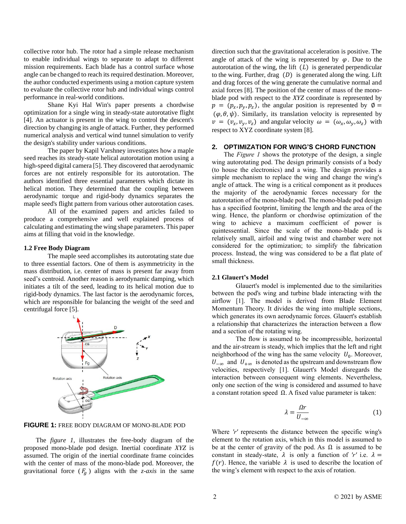collective rotor hub. The rotor had a simple release mechanism to enable individual wings to separate to adapt to different mission requirements. Each blade has a control surface whose angle can be changed to reach its required destination. Moreover, the author conducted experiments using a motion capture system to evaluate the collective rotor hub and individual wings control performance in real-world conditions.

Shane Kyi Hal Win's paper presents a chordwise optimization for a single wing in steady-state autorotative flight [4]. An actuator is present in the wing to control the descent's direction by changing its angle of attack. Further, they performed numerical analysis and vertical wind tunnel simulation to verify the design's stability under various conditions.

The paper by Kapil Varshney investigates how a maple seed reaches its steady-state helical autorotation motion using a high-speed digital camera [5]. They discovered that aerodynamic forces are not entirely responsible for its autorotation. The authors identified three essential parameters which dictate its helical motion. They determined that the coupling between aerodynamic torque and rigid-body dynamics separates the maple seed's flight pattern from various other autorotation cases.

All of the examined papers and articles failed to produce a comprehensive and well explained process of calculating and estimating the wing shape parameters. This paper aims at filling that void in the knowledge.

#### **1.2 Free Body Diagram**

The maple seed accomplishes its autorotating state due to three essential factors. One of them is asymmetricity in the mass distribution, i.e. center of mass is present far away from seed's centroid. Another reason is aerodynamic damping, which initiates a tilt of the seed, leading to its helical motion due to rigid-body dynamics. The last factor is the aerodynamic forces, which are responsible for balancing the weight of the seed and centrifugal force [5].



**FIGURE 1:** FREE BODY DIAGRAM OF MONO-BLADE POD

The *figure 1*, illustrates the free-body diagram of the proposed mono-blade pod design. Inertial coordinate *XYZ* is assumed. The origin of the inertial coordinate frame coincides with the center of mass of the mono-blade pod. Moreover, the gravitational force  $(F_q)$  aligns with the *z*-*axis* in the same

direction such that the gravitational acceleration is positive. The angle of attack of the wing is represented by  $\varphi$ . Due to the autorotation of the wing, the lift  $(L)$  is generated perpendicular to the wing. Further, drag  $(D)$  is generated along the wing. Lift and drag forces of the wing generate the cumulative normal and axial forces [8]. The position of the center of mass of the monoblade pod with respect to the *XYZ* coordinate is represented by  $p = (p_x, p_y, p_z)$ , the angular position is represented by  $\emptyset$  =  $(\varphi, \theta, \psi)$ . Similarly, its translation velocity is represented by  $v = (v_x, v_y, v_z)$  and angular velocity  $\omega = (\omega_x, \omega_y, \omega_z)$  with respect to XYZ coordinate system [8].

## **2. OPTIMIZATION FOR WING'S CHORD FUNCTION**

The *Figure 1* shows the prototype of the design, a single wing autorotating pod. The design primarily consists of a body (to house the electronics) and a wing. The design provides a simple mechanism to replace the wing and change the wing's angle of attack. The wing is a critical component as it produces the majority of the aerodynamic forces necessary for the autorotation of the mono-blade pod. The mono-blade pod design has a specified footprint, limiting the length and the area of the wing. Hence, the planform or chordwise optimization of the wing to achieve a maximum coefficient of power is quintessential. Since the scale of the mono-blade pod is relatively small, airfoil and wing twist and chamber were not considered for the optimization; to simplify the fabrication process. Instead, the wing was considered to be a flat plate of small thickness.

#### **2.1 Glauert's Model**

Glauert's model is implemented due to the similarities between the pod's wing and turbine blade interacting with the airflow [1]. The model is derived from Blade Element Momentum Theory. It divides the wing into multiple sections, which generates its own aerodynamic forces. Glauert's establish a relationship that characterizes the interaction between a flow and a section of the rotating wing.

The flow is assumed to be incompressible, horizontal and the air-stream is steady, which implies that the left and right neighborhood of the wing has the same velocity  $U_0$ . Moreover,  $U_{-\infty}$  and  $U_{+\infty}$  is denoted as the upstream and downstream flow velocities, respectively [1]. Glauert's Model disregards the interaction between consequent wing elements. Nevertheless, only one section of the wing is considered and assumed to have a constant rotation speed Ω. A fixed value parameter is taken:

$$
\lambda = \frac{\Omega r}{U_{-\infty}}\tag{1}
$$

Where *'r'* represents the distance between the specific wing's element to the rotation axis, which in this model is assumed to be at the center of gravity of the pod. As  $\Omega$  is assumed to be constant in steady-state,  $\lambda$  is only a function of 'r' i.e.  $\lambda =$  $f(r)$ . Hence, the variable  $\lambda$  is used to describe the location of the wing's element with respect to the axis of rotation.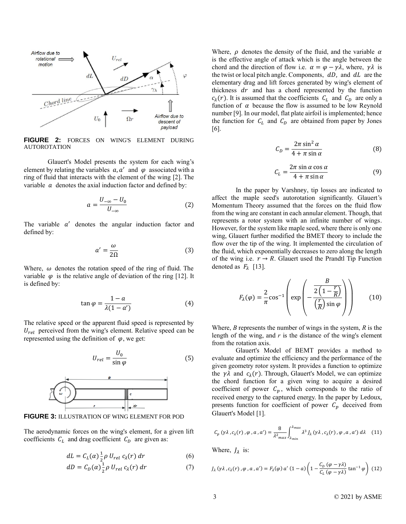

**FIGURE 2:** FORCES ON WING'S ELEMENT DURING AUTOROTATION

Glauert's Model presents the system for each wing's element by relating the variables  $a, a'$  and  $\varphi$  associated with a ring of fluid that interacts with the element of the wing [2]. The variable  $\alpha$  denotes the axial induction factor and defined by:

$$
a = \frac{U_{-\infty} - U_0}{U_{-\infty}} \tag{2}
$$

The variable  $a'$  denotes the angular induction factor and defined by:

$$
a' = \frac{\omega}{2\Omega} \tag{3}
$$

Where,  $\omega$  denotes the rotation speed of the ring of fluid. The variable  $\varphi$  is the relative angle of deviation of the ring [12]. It is defined by:

$$
\tan \varphi = \frac{1 - a}{\lambda (1 - a')} \tag{4}
$$

The relative speed or the apparent fluid speed is represented by  $U_{rel}$  perceived from the wing's element. Relative speed can be represented using the definition of  $\varphi$ , we get:

$$
U_{rel} = \frac{U_0}{\sin \varphi} \tag{5}
$$



**FIGURE 3:** ILLUSTRATION OF WING ELEMENT FOR POD

The aerodynamic forces on the wing's element, for a given lift coefficients  $C_L$  and drag coefficient  $C_D$  are given as:

$$
dL = C_L(\alpha) \frac{1}{2} \rho U_{rel} c_{\lambda}(r) dr \qquad (6)
$$

$$
dD = C_D(\alpha) \frac{1}{2} \rho U_{rel} c_{\lambda}(r) dr \qquad (7)
$$

Where,  $\rho$  denotes the density of the fluid, and the variable  $\alpha$ is the effective angle of attack which is the angle between the chord and the direction of flow i.e.  $\alpha = \varphi - \gamma \lambda$ , where,  $\gamma \lambda$  is the twist or local pitch angle. Components,  $dD$ , and  $dL$  are the elementary drag and lift forces generated by wing's element of thickness  $dr$  and has a chord represented by the function  $c_{\lambda}(r)$ . It is assumed that the coefficients  $c_{L}$  and  $c_{D}$  are only a function of  $\alpha$  because the flow is assumed to be low Reynold number [9]. In our model, flat plate airfoil is implemented; hence the function for  $C_L$  and  $C_D$  are obtained from paper by Jones [6].

$$
C_D = \frac{2\pi \sin^2 \alpha}{4 + \pi \sin \alpha} \tag{8}
$$

$$
C_L = \frac{2\pi \sin \alpha \cos \alpha}{4 + \pi \sin \alpha} \tag{9}
$$

In the paper by Varshney, tip losses are indicated to affect the maple seed's autorotation significantly. Glauert's Momentum Theory assumed that the forces on the fluid flow from the wing are constant in each annular element. Though, that represents a rotor system with an infinite number of wings. However, for the system like maple seed, where there is only one wing, Glauert further modified the BMET theory to include the flow over the tip of the wing. It implemented the circulation of the fluid, which exponentially decreases to zero along the length of the wing i.e.  $r \rightarrow R$ . Glauert used the Prandtl Tip Function denoted as  $F_{\lambda}$  [13].

$$
F_{\lambda}(\varphi) = \frac{2}{\pi} \cos^{-1} \left( \exp \left( -\frac{\frac{B}{2\left(1 - \frac{r}{R}\right)} \right) \left( \frac{B}{\sqrt{R}} \right) \sin \varphi \right) \tag{10}
$$

Where, *B* represents the number of wings in the system, *R* is the length of the wing, and *r* is the distance of the wing's element from the rotation axis.

Glauert's Model of BEMT provides a method to evaluate and optimize the efficiency and the performance of the given geometry rotor system. It provides a function to optimize the  $\gamma \lambda$  and  $c_{\lambda}(r)$ . Through, Glauert's Model, we can optimize the chord function for a given wing to acquire a desired coefficient of power  $C_p$ , which corresponds to the ratio of received energy to the captured energy. In the paper by Ledoux, presents function for coefficient of power  $C_p$  deceived from Glauert's Model [1].

$$
C_p(\gamma \lambda, c_\lambda(r), \varphi, a, a') = \frac{8}{\lambda^2_{max}} \int_{\lambda_{min}}^{\lambda_{max}} \lambda^3 J_\lambda(\gamma \lambda, c_\lambda(r), \varphi, a, a') d\lambda \quad (11)
$$

Where,  $J_{\lambda}$  is:

$$
J_{\lambda}(\gamma\lambda, c_{\lambda}(r), \varphi, a, a') = F_{\lambda}(\varphi) a' (1 - a) \left(1 - \frac{C_D(\varphi - \gamma\lambda)}{C_L(\varphi - \gamma\lambda)} \tan^{-1} \varphi\right)
$$
 (12)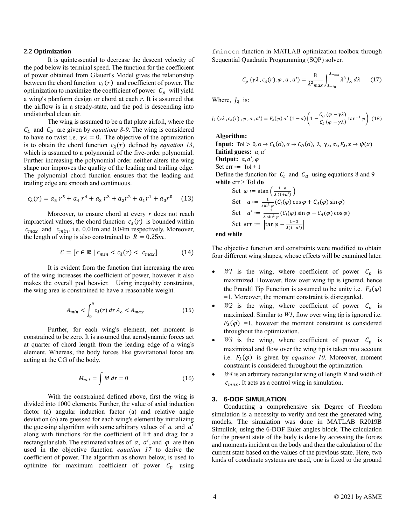#### **2.2 Optimization**

It is quintessential to decrease the descent velocity of the pod below its terminal speed. The function for the coefficient of power obtained from Glauert's Model gives the relationship between the chord function  $c_{\lambda}(r)$  and coefficient of power. The optimization to maximize the coefficient of power  $C_p$  will yield a wing's planform design or chord at each *r*. It is assumed that the airflow is in a steady-state, and the pod is descending into undisturbed clean air.

The wing is assumed to be a flat plate airfoil, where the  $C_L$  and  $C_D$  are given by *equations* 8-9. The wing is considered to have no twist i.e.  $\gamma \lambda = 0$ . The objective of the optimization is to obtain the chord function  $c_{\lambda}(r)$  defined by *equation 13*, which is assumed to a polynomial of the five-order polynomial. Further increasing the polynomial order neither alters the wing shape nor improves the quality of the leading and trailing edge. The polynomial chord function ensures that the leading and trailing edge are smooth and continuous.

$$
c_{\lambda}(r) = a_5 r^5 + a_4 r^4 + a_3 r^3 + a_2 r^2 + a_1 r^1 + a_0 r^0 \quad (13)
$$

Moreover, to ensure chord at every *r* does not reach impractical values, the chord function  $c_{\lambda}(r)$  is bounded within  $c_{max}$  and  $c_{min}$ , i.e. 0.01m and 0.04m respectively. Moreover, the length of wing is also constrained to  $R = 0.25m$ .

$$
C = [c \in \mathbb{R} \mid c_{min} < c_{\lambda}(r) < c_{max}] \tag{14}
$$

It is evident from the function that increasing the area of the wing increases the coefficient of power, however it also makes the overall pod heavier. Using inequality constraints, the wing area is constrained to have a reasonable weight.

$$
A_{min} < \int_0^R c_\lambda(r) \, dr \, A_o < A_{max} \tag{15}
$$

Further, for each wing's element, net moment is constrained to be zero. It is assumed that aerodynamic forces act at quarter of chord length from the leading edge of a wing's element. Whereas, the body forces like gravitational force are acting at the CG of the body.

$$
M_{net} = \int M dr = 0 \tag{16}
$$

With the constrained defined above, first the wing is divided into 1000 elements. Further, the value of axial induction factor (a) angular induction factor (a) and relative angle deviation  $(\phi)$  are guessed for each wing's element by initializing the guessing algorithm with some arbitrary values of  $a$  and  $a'$ along with functions for the coefficient of lift and drag for a rectangular slab. The estimated values of  $a, a',$  and  $\varphi$  are then used in the objective function *equation 17* to derive the coefficient of power. The algorithm as shown below, is used to optimize for maximum coefficient of power  $C_p$  using

fmincon function in MATLAB optimization toolbox through Sequential Quadratic Programming (SQP) solver.

$$
C_p(\gamma \lambda, c_\lambda(r), \varphi, a, a') = \frac{8}{\lambda^2 \max} \int_{\lambda_{min}}^{\lambda_{max}} \lambda^3 J_\lambda \, d\lambda \qquad (17)
$$

Where,  $J_{\lambda}$  is:

$$
J_{\lambda}(\gamma\lambda, c_{\lambda}(r), \varphi, a, a') = F_{\lambda}(\varphi) a' (1 - a) \left(1 - \frac{C_{D}(\varphi - \gamma\lambda)}{C_{L}(\varphi - \gamma\lambda)}\tan^{-1}\varphi\right)
$$
 (18)

**Algorithm: Input:** Tol > 0,  $\alpha \to C_L(\alpha)$ ,  $\alpha \to C_D(\alpha)$ ,  $\lambda$ ,  $\gamma_\lambda$ ,  $\sigma_\lambda$ ,  $F_\lambda$ ,  $x \to \psi(x)$ Initial guess: a, a' **Output:**  $a, a', \varphi$ Set  $err := Tol + 1$ Define the function for  $C_l$  and  $C_d$  using equations 8 and 9 **while** err > Tol **do** Set  $\varphi := \text{atan} \left( \frac{1-a}{1+ax} \right)$  $\frac{1}{\lambda(1+a')}\big)$ Set  $a := \frac{1}{\sin^2}$  $\frac{1}{\sin^2 \varphi}$  ( $C_l(\varphi)$  cos  $\varphi + C_d(\varphi)$  sin  $\varphi$ ) Set  $a' := \frac{1}{1 \sin \theta}$  $\frac{1}{\lambda \sin^2 \varphi} (C_l(\varphi) \sin \varphi - C_d(\varphi) \cos \varphi)$ Set  $err := \left| \tan \varphi - \frac{1-a}{1} \right|$  $\frac{1-a}{\lambda(1-a')}$ 

**end while**

The objective function and constraints were modified to obtain four different wing shapes, whose effects will be examined later.

- WI is the wing, where coefficient of power  $C_p$  is maximized. However, flow over wing tip is ignored, hence the Prandtl Tip Function is assumed to be unity i.e.  $F_{\lambda}(\varphi)$ =1. Moreover, the moment constraint is disregarded.
- $W2$  is the wing, where coefficient of power  $C_p$  is maximized. Similar to *W1*, flow over wing tip is ignored i.e.  $F_{\lambda}(\varphi) = 1$ , however the moment constraint is considered throughout the optimization.
- $W3$  is the wing, where coefficient of power  $C_p$  is maximized and flow over the wing tip is taken into account i.e.  $F_{\lambda}(\varphi)$  is given by *equation 10*. Moreover, moment constraint is considered throughout the optimization.
- *W4* is an arbitrary rectangular wing of length *R* and width of  $c_{max}$ . It acts as a control wing in simulation.

#### **3. 6-DOF SIMULATION**

Conducting a comprehensive six Degree of Freedom simulation is a necessity to verify and test the generated wing models. The simulation was done in MATLAB R2019B Simulink, using the 6-DOF Euler angles block. The calculation for the present state of the body is done by accessing the forces and moments incident on the body and then the calculation of the current state based on the values of the previous state. Here, two kinds of coordinate systems are used, one is fixed to the ground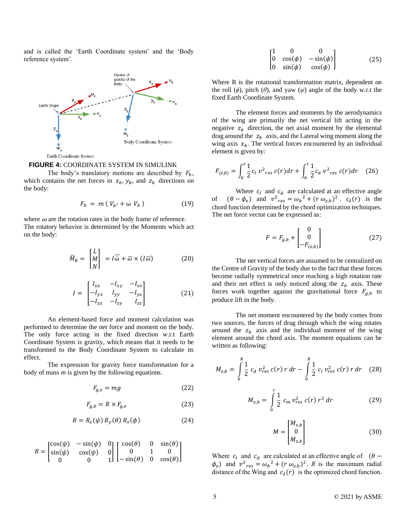and is called the 'Earth Coordinate system' and the 'Body reference system'.



#### **FIGURE 4:** COORDINATE SYSTEM IN SIMULINK

The body's translatory motions are described by  $F_h$ , which contains the net forces in  $x_b, y_b$ , and  $z_b$  directions on the body:

$$
F_b = m (V_{b'} + \omega V_b) \tag{19}
$$

where  $\omega$  are the rotation rates in the body frame of reference. The rotatory behavior is determined by the Moments which act on the body:

$$
\overline{M}_B = \begin{bmatrix} L \\ M \\ N \end{bmatrix} = I\overline{\omega} + \overline{\omega} \times (I\overline{\omega}) \tag{20}
$$

$$
I = \begin{bmatrix} I_{xx} & -I_{xy} & -I_{xz} \\ -I_{yx} & I_{yy} & -I_{yz} \\ -I_{zx} & -I_{zy} & I_{zz} \end{bmatrix}
$$
 (21)

An element-based force and moment calculation was performed to determine the net force and moment on the body. The only force acting in the fixed direction w.r.t Earth Coordinate System is gravity, which means that it needs to be transformed to the Body Coordinate System to calculate its effect.

The expression for gravity force transformation for a body of mass *m* is given by the following equations.

$$
F_{g,e} = mg \tag{22}
$$

$$
F_{g,b} = R \times F_{g,e} \tag{23}
$$

$$
R = R_z(\psi) R_y(\theta) R_x(\phi) \tag{24}
$$

$$
R = \begin{bmatrix} \cos(\psi) & -\sin(\psi) & 0 \\ \sin(\psi) & \cos(\psi) & 0 \\ 0 & 0 & 1 \end{bmatrix} \begin{bmatrix} \cos(\theta) & 0 & \sin(\theta) \\ 0 & 1 & 0 \\ -\sin(\theta) & 0 & \cos(\theta) \end{bmatrix}
$$

$$
\begin{bmatrix} 1 & 0 & 0 \ 0 & \cos(\phi) & -\sin(\phi) \\ 0 & \sin(\phi) & \cos(\phi) \end{bmatrix}
$$
 (25)

Where R is the rotational transformation matrix, dependent on the roll  $(\phi)$ , pitch  $(\theta)$ , and yaw  $(\psi)$  angle of the body w.r.t the fixed Earth Coordinate System.

The element forces and moments by the aerodynamics of the wing are primarily the net vertical lift acting in the negative  $z_b$  direction, the net axial moment by the elemental drag around the  $z_b$  axis, and the Lateral wing moment along the wing axis  $x<sub>b</sub>$ . The vertical forces encountered by an individual element is given by:

$$
F_{(z,b)} = \int_0^r \frac{1}{2} c_l \, v_{res}^2 \, c(r) dr + \int_0^r \frac{1}{2} c_d \, v_{res}^2 \, c(r) dr \quad (26)
$$

Where  $c_l$  and  $c_d$  are calculated at an effective angle of  $(\theta - \phi_e)$  and  $v^2_{res} = \omega_b^2 + (r \omega_{z,b})^2$ .  $c_\lambda(r)$  is the chord function determined by the chord optimization techniques. The net force vector can be expressed as:

$$
F = F_{g,b} + \begin{bmatrix} 0 \\ 0 \\ -F_{(z,b)} \end{bmatrix}
$$
 (27)

The net vertical forces are assumed to be centralized on the Centre of Gravity of the body due to the fact that these forces become radially symmetrical once reaching a high rotation rate and their net effect is only noticed along the  $z_b$  axis. These forces work together against the gravitational force  $F_{g,b}$  to produce lift in the body.

The net moment encountered by the body comes from two sources, the forces of drag through which the wing rotates around the  $z_b$  axis and the individual moment of the wing element around the chord axis. The moment equations can be written as following:

$$
M_{z,b} = \int_{0}^{R} \frac{1}{2} c_d \ v_{res}^2 c(r) \ r \ dr - \int_{0}^{R} \frac{1}{2} c_l \ v_{res}^2 c(r) \ r \ dr \quad (28)
$$

$$
M_{x,b} = \int_{0}^{r} \frac{1}{2} c_m v_{res}^2 c(r) r^2 dr
$$
 (29)

$$
M = \begin{bmatrix} M_{x,b} \\ 0 \\ M_{z,b} \end{bmatrix}
$$
 (30)

Where  $c_l$  and  $c_d$  are calculated at an effective angle of ( $\theta$  –  $\phi_e$ ) and  $v^2_{res} = \omega_b^2 + (r \omega_{z,b})^2$ . *R* is the maximum radial distance of the Wing and  $c_{\lambda}(r)$  is the optimized chord function.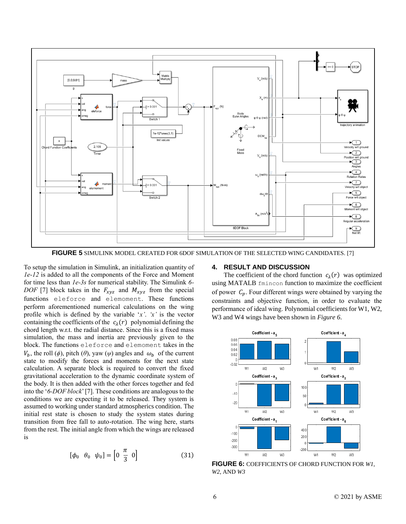

**FIGURE 5** SIMULINK MODEL CREATED FOR 6DOF SIMULATION OF THE SELECTED WING CANDIDATES. [7]

To setup the simulation in Simulink, an initialization quantity of *1e-12* is added to all the components of the Force and Moment for time less than *1e-3s* for numerical stability. The Simulink *6- DOF* [7] block takes in the  $F_{xyz}$  and  $M_{xyz}$  from the special functions eleforce and elemoment. These functions perform aforementioned numerical calculations on the wing profile which is defined by the variable '*x'*. *'x'* is the vector containing the coefficients of the  $c_{\lambda}(r)$  polynomial defining the chord length w.r.t. the radial distance. Since this is a fixed mass simulation, the mass and inertia are previously given to the block. The functions eleforce and elemoment takes in the  $V_b$ , the roll ( $\phi$ ), pitch ( $\theta$ ), yaw ( $\psi$ ) angles and  $\omega_b$  of the current state to modify the forces and moments for the next state calculation. A separate block is required to convert the fixed gravitational acceleration to the dynamic coordinate system of the body. It is then added with the other forces together and fed into the '*6-DOF block*'[7]. These conditions are analogous to the conditions we are expecting it to be released. They system is assumed to working under standard atmospherics condition. The initial rest state is chosen to study the system states during transition from free fall to auto-rotation. The wing here, starts from the rest. The initial angle from which the wings are released is

$$
\left[\phi_0 \quad \theta_0 \quad \psi_0\right] = \left[0 \quad \frac{\pi}{3} \quad 0\right] \tag{31}
$$

## **4. RESULT AND DISCUSSION**

The coefficient of the chord function  $c_{\lambda}(r)$  was optimized using MATALB fmincon function to maximize the coefficient of power  $C_p$ . Four different wings were obtained by varying the constraints and objective function, in order to evaluate the performance of ideal wing. Polynomial coefficients for W1, W2, W3 and W4 wings have been shown in *Figure 6*.



**FIGURE 6:** COEFFICIENTS OF CHORD FUNCTION FOR *W1*, *W2*, AND *W3*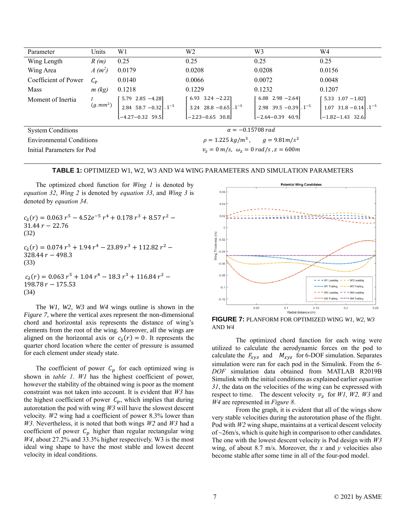| Parameter                       | Units    | W1                      | W <sub>2</sub>                                                                                                                                                                                                                                                                                                                                        | W3     | W4     |  |  |
|---------------------------------|----------|-------------------------|-------------------------------------------------------------------------------------------------------------------------------------------------------------------------------------------------------------------------------------------------------------------------------------------------------------------------------------------------------|--------|--------|--|--|
| Wing Length                     | R(m)     | 0.25                    | 0.25                                                                                                                                                                                                                                                                                                                                                  | 0.25   | 0.25   |  |  |
| Wing Area                       | $A(m^2)$ | 0.0179                  | 0.0208                                                                                                                                                                                                                                                                                                                                                | 0.0208 | 0.0156 |  |  |
| Coefficient of Power            | $C_P$    | 0.0140                  | 0.0066                                                                                                                                                                                                                                                                                                                                                | 0.0072 | 0.0048 |  |  |
| Mass                            | m (kg)   | 0.1218                  | 0.1229                                                                                                                                                                                                                                                                                                                                                | 0.1232 | 0.1207 |  |  |
| Moment of Inertia               |          |                         |                                                                                                                                                                                                                                                                                                                                                       |        |        |  |  |
|                                 |          |                         | $\begin{bmatrix} 1 \\ (g.mm^2) \\ -4.27-0.32 \end{bmatrix} \begin{bmatrix} 5.79 & 2.85 & -4.28 \\ 2.84 & 58.7 & -0.32 \\ -4.27-0.32 & 59.5 \end{bmatrix} .1^{-5} \qquad \begin{bmatrix} 6.93 & 3.24 & -2.22 \\ 3.24 & 28.8 & -0.65 \\ -2.23-0.65 & 30.8 \end{bmatrix} .1^{-5} \qquad \begin{bmatrix} 6.08 & 2.98 & -2.64 \\ 2.98 & 39.5 & -0.39 \\ -$ |        |        |  |  |
|                                 |          |                         |                                                                                                                                                                                                                                                                                                                                                       |        |        |  |  |
| <b>System Conditions</b>        |          | $\alpha = -0.15708 rad$ |                                                                                                                                                                                                                                                                                                                                                       |        |        |  |  |
| <b>Environmental Conditions</b> |          |                         | $\rho = 1.225 kg/m^3$ , $g = 9.81 m/s^2$                                                                                                                                                                                                                                                                                                              |        |        |  |  |
| Initial Parameters for Pod      |          |                         | $v_z = 0$ m/s, $\omega_z = 0$ rad/s, $z = 600$ m                                                                                                                                                                                                                                                                                                      |        |        |  |  |

#### **TABLE 1:** OPTIMIZED W1, W2, W3 AND W4 WING PARAMETERS AND SIMULATION PARAMETERS

The optimized chord function for *Wing 1* is denoted by *equation 32*, *Wing 2* is denoted by *equation 33*, and *Wing 3* is denoted by *equation 34*.

 $c_{\lambda}(r) = 0.063 r^5 - 4.52e^{-5} r^4 + 0.178 r^3 + 8.57 r^2$  $31.44 r - 22.76$ (32)  $c_{\lambda}(r) = 0.074 r^5 + 1.94 r^4 - 23.89 r^3 + 112.82 r^2$ 328.44  $r - 498.3$ (33)  $c_{\lambda}(r) = 0.063 r^5 + 1.04 r^4 - 18.3 r^3 + 116.84 r^2$  $198.78 r - 175.53$ (34)

The *W1, W2, W3* and *W4* wings outline is shown in the *Figure 7*, where the vertical axes represent the non-dimensional chord and horizontal axis represents the distance of wing's elements from the root of the wing. Moreover, all the wings are aligned on the horizontal axis or  $c_{\lambda}(r) = 0$ . It represents the quarter chord location where the center of pressure is assumed for each element under steady state.

The coefficient of power  $C_p$  for each optimized wing is shown in *table 1*. *W1* has the highest coefficient of power, however the stability of the obtained wing is poor as the moment constraint was not taken into account. It is evident that *W3* has the highest coefficient of power  $C_p$ , which implies that during autorotation the pod with wing *W3* will have the slowest descent velocity. *W2* wing had a coefficient of power 8.3% lower than *W3*. Nevertheless, it is noted that both wings *W2* and *W3* had a coefficient of power  $C_p$  higher than regular rectangular wing *W4*, about 27.2% and 33.3% higher respectively. W3 is the most ideal wing shape to have the most stable and lowest decent velocity in ideal conditions.



**FIGURE 7:** PLANFORM FOR OPTIMIZED WING *W1*, *W2*, *W3* AND *W4*

The optimized chord function for each wing were utilized to calculate the aerodynamic forces on the pod to calculate the  $F_{xyz}$  and  $M_{xyz}$  for 6-DOF simulation. Separates simulation were ran for each pod in the Simulink. From the *6- DOF* simulation data obtained from MATLAB R2019B Simulink with the initial conditions as explained earlier *equation 31*, the data on the velocities of the wing can be expressed with respect to time. The descent velocity  $v_z$  for *W1*, *W2*, *W3* and *W4* are represented in *Figure 8*.

From the graph, it is evident that all of the wings show very stable velocities during the autorotation phase of the flight. Pod with *W2* wing shape, maintains at a vertical descent velocity of ~26m/s, which is quite high in comparison to other candidates. The one with the lowest descent velocity is Pod design with *W3* wing, of about 8.7 m/s. Moreover, the *x* and *y* velocities also become stable after some time in all of the four-pod model.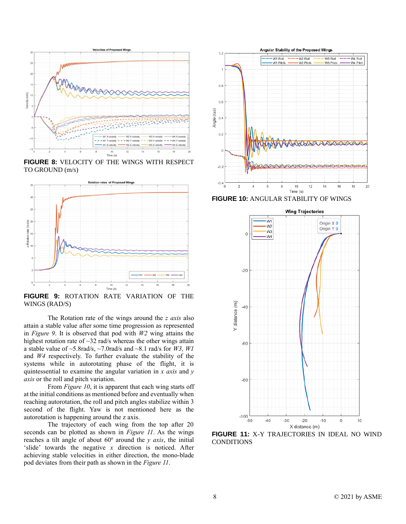

**FIGURE 8:** VELOCITY OF THE WINGS WITH RESPECT TO GROUND (m/s)



**FIGURE 9:** ROTATION RATE VARIATION OF THE WINGS (RAD/S)

The Rotation rate of the wings around the *z axis* also attain a stable value after some time progression as represented in *Figure 9*. It is observed that pod with *W2* wing attains the highest rotation rate of ~32 rad/s whereas the other wings attain a stable value of  $\sim$  5.8rad/s,  $\sim$  7.0rad/s and  $\sim$  8.1 rad/s for *W3, W1* and *W4* respectively. To further evaluate the stability of the systems while in autorotating phase of the flight, it is quintessential to examine the angular variation in *x axis* and *y axis* or the roll and pitch variation.

From *Figure 10*, it is apparent that each wing starts off at the initial conditions as mentioned before and eventually when reaching autorotation, the roll and pitch angles stabilize within 3 second of the flight. Yaw is not mentioned here as the autorotation is happening around the z axis.

The trajectory of each wing from the top after 20 seconds can be plotted as shown in *Figure 11*. As the wings reaches a tilt angle of about  $60^\circ$  around the *y axis*, the initial 'slide' towards the negative *x* direction is noticed. After achieving stable velocities in either direction, the mono-blade pod deviates from their path as shown in the *Figure 11*.



**FIGURE 10:** ANGULAR STABILITY OF WINGS



**FIGURE 11:** X-Y TRAJECTORIES IN IDEAL NO WIND CONDITIONS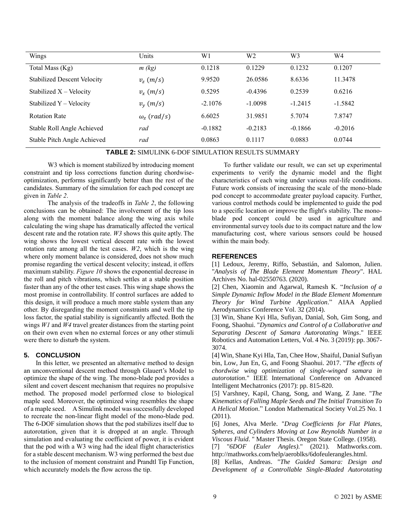| Wings                              | Units              | W <sub>1</sub> | W2        | W3        | W4        |
|------------------------------------|--------------------|----------------|-----------|-----------|-----------|
| Total Mass (Kg)                    | $m$ (kg)           | 0.1218         | 0.1229    | 0.1232    | 0.1207    |
| <b>Stabilized Descent Velocity</b> | $v_{z}$ (m/s)      | 9.9520         | 26.0586   | 8.6336    | 11.3478   |
| Stabilized $X -$ Velocity          | $v_x(m/s)$         | 0.5295         | $-0.4396$ | 0.2539    | 0.6216    |
| Stabilized $Y -$ Velocity          | $v_{v}$ (m/s)      | $-2.1076$      | $-1.0098$ | $-1.2415$ | $-1.5842$ |
| <b>Rotation Rate</b>               | $\omega_z$ (rad/s) | 6.6025         | 31.9851   | 5.7074    | 7.8747    |
| Stable Roll Angle Achieved         | rad                | $-0.1882$      | $-0.2183$ | $-0.1866$ | $-0.2016$ |
| Stable Pitch Angle Achieved        | rad                | 0.0863         | 0.1117    | 0.0883    | 0.0744    |

**TABLE 2:** SIMULINK 6-DOF SIMULATION RESULTS SUMMARY

W<sub>3</sub> which is moment stabilized by introducing moment constraint and tip loss corrections function during chordwiseoptimization, performs significantly better than the rest of the candidates. Summary of the simulation for each pod concept are given in *Table 2*.

The analysis of the tradeoffs in *Table 2*, the following conclusions can be obtained: The involvement of the tip loss along with the moment balance along the wing axis while calculating the wing shape has dramatically affected the vertical descent rate and the rotation rate. *W3* shows this quite aptly. The wing shows the lowest vertical descent rate with the lowest rotation rate among all the test cases. *W2*, which is the wing where only moment balance is considered, does not show much promise regarding the vertical descent velocity; instead, it offers maximum stability. *Figure 10* shows the exponential decrease in the roll and pitch vibrations, which settles at a stable position faster than any of the other test cases. This wing shape shows the most promise in controllability. If control surfaces are added to this design, it will produce a much more stable system than any other. By disregarding the moment constraints and well the tip loss factor, the spatial stability is significantly affected. Both the wings *W1* and *W4* travel greater distances from the starting point on their own even when no external forces or any other stimuli were there to disturb the system.

## **5. CONCLUSION**

In this letter, we presented an alternative method to design an unconventional descent method through Glauert's Model to optimize the shape of the wing. The mono-blade pod provides a silent and covert descent mechanism that requires no propulsive method. The proposed model performed close to biological maple seed. Moreover, the optimized wing resembles the shape of a maple seed. A Simulink model was successfully developed to recreate the non-linear flight model of the mono-blade pod. The 6-DOF simulation shows that the pod stabilizes itself due to autorotation, given that it is dropped at an angle. Through simulation and evaluating the coefficient of power, it is evident that the pod with a W3 wing had the ideal flight characteristics for a stable descent mechanism. W3 wing performed the best due to the inclusion of moment constraint and Prandtl Tip Function, which accurately models the flow across the tip.

To further validate our result, we can set up experimental experiments to verify the dynamic model and the flight characteristics of each wing under various real-life conditions. Future work consists of increasing the scale of the mono-blade pod concept to accommodate greater payload capacity. Further, various control methods could be implemented to guide the pod to a specific location or improve the flight's stability. The monoblade pod concept could be used in agriculture and environmental survey tools due to its compact nature and the low manufacturing cost, where various sensors could be housed within the main body.

## **REFERENCES**

[1] Ledoux, Jeremy, Riffo, Sebastián, and Salomon, Julien. "*Analysis of The Blade Element Momentum Theory*". HAL Archives No. hal-02550763. (2020).

[2] Chen, Xiaomin and Agarwal, Ramesh K. "*Inclusion of a Simple Dynamic Inflow Model in the Blade Element Momentum Theory for Wind Turbine Application*." AIAA Applied Aerodynamics Conference Vol. 32 (2014).

[3] Win, Shane Kyi Hla, Sufiyan, Danial, Soh, Gim Song, and Foong, Shaohui. "*Dynamics and Control of a Collaborative and Separating Descent of Samara Autorotating Wings*." IEEE Robotics and Automation Letters, Vol. 4 No. 3 (2019): pp. 3067- 3074.

[4] Win, Shane Kyi Hla, Tan, Chee How, Shaiful, Danial Sufiyan bin, Low, Jun En, G, and Foong Shaohui. 2017. "*The effects of chordwise wing optimization of single-winged samara in autorotation*." IEEE International Conference on Advanced Intelligent Mechatronics (2017): pp. 815-820.

[5] Varshney, Kapil, Chang, Song, and Wang, Z Jane. "*The Kinematics of Falling Maple Seeds and The Initial Transition To A Helical Motion*." London Mathematical Society Vol.25 No. 1 (2011).

[6] Jones, Alva Merle. "*Drag Coefficients for Flat Plates, Spheres, and Cylinders Moving at Low Reynolds Number in a Viscous Fluid*. " Master Thesis. Oregon State College. (1958).

[7] "*6DOF (Euler Angles).*" (2021). Mathworks.com. http://mathworks.com/help/aeroblks/6dofeulerangles.html.

[8] Kellas, Andreas. "*The Guided Samara: Design and Development of a Controllable Single-Bladed Autorotating*